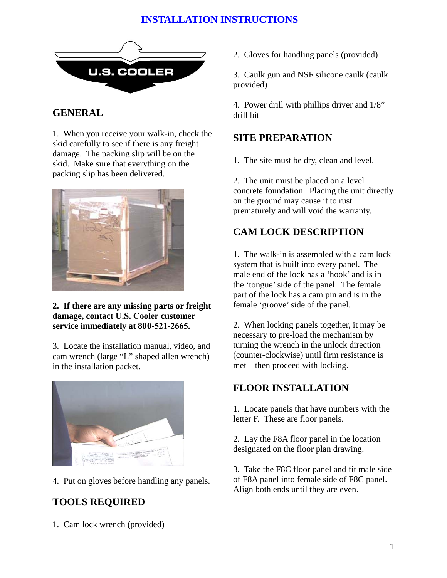# **INSTALLATION INSTRUCTIONS**



#### **GENERAL**

1. When you receive your walk-in, check the skid carefully to see if there is any freight damage. The packing slip will be on the skid. Make sure that everything on the packing slip has been delivered.



#### **2. If there are any missing parts or freight damage, contact U.S. Cooler customer service immediately at 800-521-2665.**

3. Locate the installation manual, video, and cam wrench (large "L" shaped allen wrench) in the installation packet.



4. Put on gloves before handling any panels.

# **TOOLS REQUIRED**

1. Cam lock wrench (provided)

2. Gloves for handling panels (provided)

3. Caulk gun and NSF silicone caulk (caulk provided)

4. Power drill with phillips driver and 1/8" drill bit

### **SITE PREPARATION**

1. The site must be dry, clean and level.

2. The unit must be placed on a level concrete foundation. Placing the unit directly on the ground may cause it to rust prematurely and will void the warranty.

# **CAM LOCK DESCRIPTION**

1. The walk-in is assembled with a cam lock system that is built into every panel. The male end of the lock has a 'hook' and is in the 'tongue' side of the panel. The female part of the lock has a cam pin and is in the female 'groove' side of the panel.

2. When locking panels together, it may be necessary to pre-load the mechanism by turning the wrench in the unlock direction (counter-clockwise) until firm resistance is met – then proceed with locking.

#### **FLOOR INSTALLATION**

1. Locate panels that have numbers with the letter F. These are floor panels.

2. Lay the F8A floor panel in the location designated on the floor plan drawing.

3. Take the F8C floor panel and fit male side of F8A panel into female side of F8C panel. Align both ends until they are even.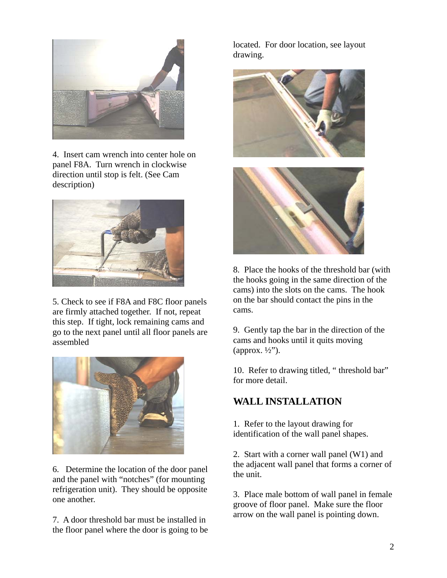

4. Insert cam wrench into center hole on panel F8A. Turn wrench in clockwise direction until stop is felt. (See Cam description)



5. Check to see if F8A and F8C floor panels are firmly attached together. If not, repeat this step. If tight, lock remaining cams and go to the next panel until all floor panels are assembled



6. Determine the location of the door panel and the panel with "notches" (for mounting refrigeration unit). They should be opposite one another.

7. A door threshold bar must be installed in the floor panel where the door is going to be located. For door location, see layout drawing.





8. Place the hooks of the threshold bar (with the hooks going in the same direction of the cams) into the slots on the cams. The hook on the bar should contact the pins in the cams.

9. Gently tap the bar in the direction of the cams and hooks until it quits moving (approx.  $\frac{1}{2}$ ").

10. Refer to drawing titled, " threshold bar" for more detail.

#### **WALL INSTALLATION**

1. Refer to the layout drawing for identification of the wall panel shapes.

2. Start with a corner wall panel (W1) and the adjacent wall panel that forms a corner of the unit.

3. Place male bottom of wall panel in female groove of floor panel. Make sure the floor arrow on the wall panel is pointing down.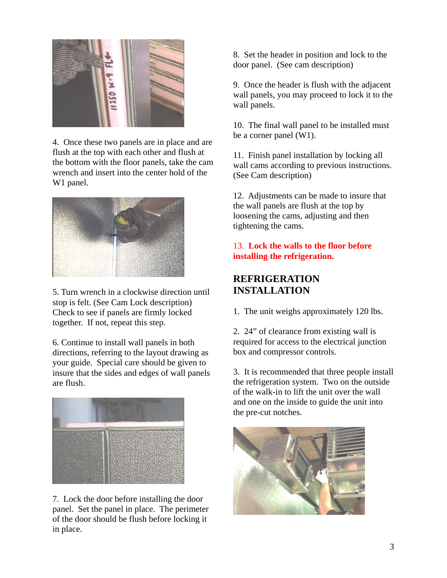

4. Once these two panels are in place and are flush at the top with each other and flush at the bottom with the floor panels, take the cam wrench and insert into the center hold of the W1 panel.



5. Turn wrench in a clockwise direction until stop is felt. (See Cam Lock description) Check to see if panels are firmly locked together. If not, repeat this step.

6. Continue to install wall panels in both directions, referring to the layout drawing as your guide. Special care should be given to insure that the sides and edges of wall panels are flush.



7. Lock the door before installing the door panel. Set the panel in place. The perimeter of the door should be flush before locking it in place.

8. Set the header in position and lock to the door panel. (See cam description)

9. Once the header is flush with the adjacent wall panels, you may proceed to lock it to the wall panels.

10. The final wall panel to be installed must be a corner panel (W1).

11. Finish panel installation by locking all wall cams according to previous instructions. (See Cam description)

12. Adjustments can be made to insure that the wall panels are flush at the top by loosening the cams, adjusting and then tightening the cams.

#### 13. **Lock the walls to the floor before installing the refrigeration.**

### **REFRIGERATION INSTALLATION**

1. The unit weighs approximately 120 lbs.

2. 24" of clearance from existing wall is required for access to the electrical junction box and compressor controls.

3. It is recommended that three people install the refrigeration system. Two on the outside of the walk-in to lift the unit over the wall and one on the inside to guide the unit into the pre-cut notches.

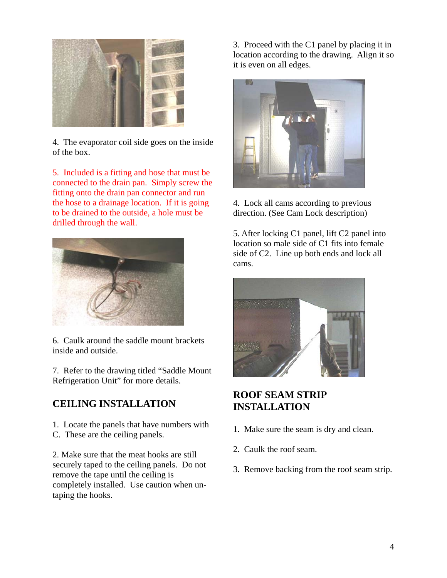

4. The evaporator coil side goes on the inside of the box.

5. Included is a fitting and hose that must be connected to the drain pan. Simply screw the fitting onto the drain pan connector and run the hose to a drainage location. If it is going to be drained to the outside, a hole must be drilled through the wall.



6. Caulk around the saddle mount brackets inside and outside.

7. Refer to the drawing titled "Saddle Mount Refrigeration Unit" for more details.

#### **CEILING INSTALLATION**

1. Locate the panels that have numbers with C. These are the ceiling panels.

2. Make sure that the meat hooks are still securely taped to the ceiling panels. Do not remove the tape until the ceiling is completely installed. Use caution when untaping the hooks.

3. Proceed with the C1 panel by placing it in location according to the drawing. Align it so it is even on all edges.



4. Lock all cams according to previous direction. (See Cam Lock description)

5. After locking C1 panel, lift C2 panel into location so male side of C1 fits into female side of C2. Line up both ends and lock all cams.



### **ROOF SEAM STRIP INSTALLATION**

- 1. Make sure the seam is dry and clean.
- 2. Caulk the roof seam.
- 3. Remove backing from the roof seam strip.